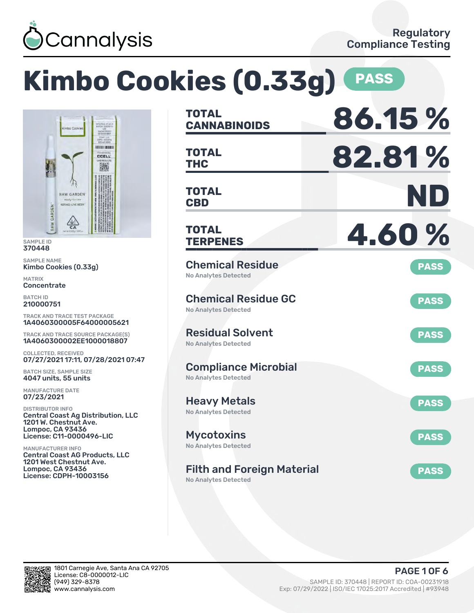

### **Kimbo Cookies (0.33g) PASS CANNABINOIDS 86.15 % TOTAL** HOUR BOAT **THC 82.81 % TOTAL CCELL CBD ND TOTAL TERPENES 4.60 % TOTAL** Chemical Residue **PASS** Kimbo Cookies (0.33g) No Analytes Detected Chemical Residue GC **PASS** No Analytes Detected TRACK AND TRACE TEST PACKAGE 1A4060300005F64000005621 Residual Solvent TRACK AND TRACE SOURCE PACKAGE(S) **PASS** 1A4060300002EE1000018807 No Analytes Detected 07/27/2021 17:11, 07/28/2021 07:47 Compliance Microbial **PASS** No Analytes Detected Heavy Metals **PASS** No Analytes Detected Central Coast Ag Distribution, LLC 1201 W. Chestnut Ave. License: C11-0000496-LIC Mycotoxins **PASS** No Analytes Detected Central Coast AG Products, LLC 1201 West Chestnut Ave. Filth and Foreign Material **PASS** License: CDPH-10003156 No Analytes Detected

SAMPLE ID 370448 SAMPLE NAME

GARDEN

RAW

RAW GARDEN

 $\frac{1}{2}$ 

MATRIX **Concentrate** BATCH ID 210000751

COLLECTED, RECEIVED

BATCH SIZE, SAMPLE SIZE 4047 units, 55 units MANUFACTURE DATE 07/23/2021 DISTRIBUTOR INFO

Lompoc, CA 93436

MANUFACTURER INFO

Lompoc, CA 93436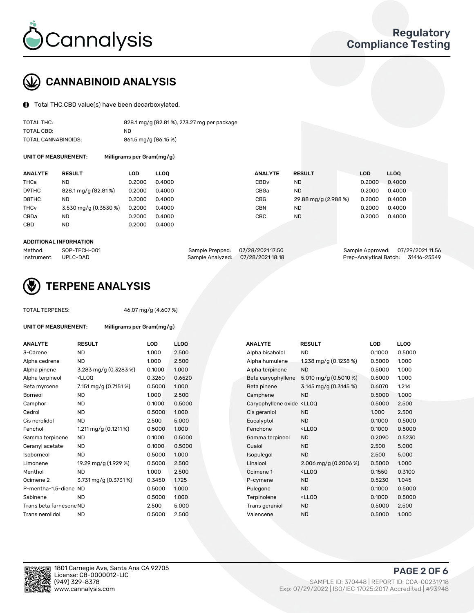

# CANNABINOID ANALYSIS

Total THC,CBD value(s) have been decarboxylated.

| TOTAL THC:          | 828.1 mg/g (82.81%), 273.27 mg per package |
|---------------------|--------------------------------------------|
| TOTAL CBD:          | ND.                                        |
| TOTAL CANNABINOIDS: | 861.5 mg/g (86.15 %)                       |

UNIT OF MEASUREMENT:

| Milligrams per Gram(mg/g) |  |  |
|---------------------------|--|--|
|                           |  |  |

| <b>ANALYTE</b>         | <b>RESULT</b>         | LOD    | <b>LLOO</b> | <b>ANALYTE</b>   | <b>RESULT</b>        | <b>LOD</b> | <b>LLOO</b> |
|------------------------|-----------------------|--------|-------------|------------------|----------------------|------------|-------------|
| THCa                   | ND                    | 0.2000 | 0.4000      | CBD <sub>v</sub> | ND                   | 0.2000     | 0.4000      |
| D9THC                  | 828.1 mg/g (82.81%)   | 0.2000 | 0.4000      | CBGa             | <b>ND</b>            | 0.2000     | 0.4000      |
| D8THC                  | ND                    | 0.2000 | 0.4000      | CBG              | 29.88 mg/g (2.988 %) | 0.2000     | 0.4000      |
| <b>THC<sub>v</sub></b> | 3.530 mg/g (0.3530 %) | 0.2000 | 0.4000      | <b>CBN</b>       | <b>ND</b>            | 0.2000     | 0.4000      |
| CBDa                   | ND                    | 0.2000 | 0.4000      | <b>CBC</b>       | <b>ND</b>            | 0.2000     | 0.4000      |
| <b>CBD</b>             | ND                    | 0.2000 | 0.4000      |                  |                      |            |             |
|                        |                       |        |             |                  |                      |            |             |

#### ADDITIONAL INFORMATION

| Method:              | SOP-TECH-001 | Sample Prepped: 07/28/2021 17:50  | Sample Approved: 07/29/2021 11:56  |  |
|----------------------|--------------|-----------------------------------|------------------------------------|--|
| Instrument: UPLC-DAD |              | Sample Analyzed: 07/28/2021 18:18 | Prep-Analytical Batch: 31416-25549 |  |



### TERPENE ANALYSIS

UNIT OF MEASUREMENT: Milligrams per Gram(mg/g)

| TUTAL TENTERS. |  |  |
|----------------|--|--|
|                |  |  |
|                |  |  |
|                |  |  |

TOTAL TERPENES: 46.07 mg/g (4.607 %)

| <b>ANALYTE</b>          | <b>RESULT</b>                                                                                                                             | <b>LOD</b> | <b>LLOQ</b> | <b>ANALYTE</b>                                                                  | <b>RESULT</b>                                       | <b>LOD</b> | <b>LLOQ</b> |
|-------------------------|-------------------------------------------------------------------------------------------------------------------------------------------|------------|-------------|---------------------------------------------------------------------------------|-----------------------------------------------------|------------|-------------|
| 3-Carene                | <b>ND</b>                                                                                                                                 | 1.000      | 2.500       | Alpha bisabolol                                                                 | <b>ND</b>                                           | 0.1000     | 0.5000      |
| Alpha cedrene           | <b>ND</b>                                                                                                                                 | 1.000      | 2.500       | Alpha humulene                                                                  | 1.238 mg/g $(0.1238\%)$                             | 0.5000     | 1.000       |
| Alpha pinene            | 3.283 mg/g (0.3283 %)                                                                                                                     | 0.1000     | 1.000       | Alpha terpinene                                                                 | <b>ND</b>                                           | 0.5000     | 1.000       |
| Alpha terpineol         | <lloq< td=""><td>0.3260</td><td>0.6520</td><td>Beta caryophyllene</td><td>5.010 mg/g (0.5010 %)</td><td>0.5000</td><td>1.000</td></lloq<> | 0.3260     | 0.6520      | Beta caryophyllene                                                              | 5.010 mg/g (0.5010 %)                               | 0.5000     | 1.000       |
| Beta myrcene            | 7.151 mg/g (0.7151 %)                                                                                                                     | 0.5000     | 1.000       | Beta pinene                                                                     | 3.145 mg/g (0.3145 %)                               | 0.6070     | 1.214       |
| Borneol                 | <b>ND</b>                                                                                                                                 | 1.000      | 2.500       | Camphene                                                                        | <b>ND</b>                                           | 0.5000     | 1.000       |
| Camphor                 | <b>ND</b>                                                                                                                                 | 0.1000     | 0.5000      | Caryophyllene oxide <lloq< td=""><td></td><td>0.5000</td><td>2.500</td></lloq<> |                                                     | 0.5000     | 2.500       |
| Cedrol                  | <b>ND</b>                                                                                                                                 | 0.5000     | 1.000       | Cis geraniol                                                                    | <b>ND</b>                                           | 1.000      | 2.500       |
| Cis nerolidol           | <b>ND</b>                                                                                                                                 | 2.500      | 5.000       | Eucalyptol                                                                      | <b>ND</b>                                           | 0.1000     | 0.5000      |
| Fenchol                 | 1.211 mg/g $(0.1211\%)$                                                                                                                   | 0.5000     | 1.000       | Fenchone                                                                        | <lloq< td=""><td>0.1000</td><td>0.5000</td></lloq<> | 0.1000     | 0.5000      |
| Gamma terpinene         | <b>ND</b>                                                                                                                                 | 0.1000     | 0.5000      | Gamma terpineol                                                                 | <b>ND</b>                                           | 0.2090     | 0.5230      |
| Geranyl acetate         | <b>ND</b>                                                                                                                                 | 0.1000     | 0.5000      | Guaiol                                                                          | <b>ND</b>                                           | 2.500      | 5.000       |
| Isoborneol              | <b>ND</b>                                                                                                                                 | 0.5000     | 1.000       | Isopulegol                                                                      | <b>ND</b>                                           | 2.500      | 5.000       |
| Limonene                | 19.29 mg/g (1.929 %)                                                                                                                      | 0.5000     | 2.500       | Linalool                                                                        | 2.006 mg/g $(0.2006\%)$                             | 0.5000     | 1.000       |
| Menthol                 | <b>ND</b>                                                                                                                                 | 1.000      | 2.500       | Ocimene 1                                                                       | <lloq< td=""><td>0.1550</td><td>0.3100</td></lloq<> | 0.1550     | 0.3100      |
| Ocimene 2               | 3.731 mg/g (0.3731 %)                                                                                                                     | 0.3450     | 1.725       | P-cymene                                                                        | <b>ND</b>                                           | 0.5230     | 1.045       |
| P-mentha-1.5-diene ND   |                                                                                                                                           | 0.5000     | 1.000       | Pulegone                                                                        | <b>ND</b>                                           | 0.1000     | 0.5000      |
| Sabinene                | <b>ND</b>                                                                                                                                 | 0.5000     | 1.000       | Terpinolene                                                                     | <lloq< td=""><td>0.1000</td><td>0.5000</td></lloq<> | 0.1000     | 0.5000      |
| Trans beta farnesene ND |                                                                                                                                           | 2.500      | 5.000       | Trans geraniol                                                                  | <b>ND</b>                                           | 0.5000     | 2.500       |
| Trans nerolidol         | <b>ND</b>                                                                                                                                 | 0.5000     | 2.500       | Valencene                                                                       | <b>ND</b>                                           | 0.5000     | 1.000       |

| <b>NALYTE</b>                                                                   | <b>RESULT</b>                                       | LOD    | LLOQ   |
|---------------------------------------------------------------------------------|-----------------------------------------------------|--------|--------|
| Alpha bisabolol                                                                 | ND.                                                 | 0.1000 | 0.5000 |
| Alpha humulene                                                                  | 1.238 mg/g $(0.1238\%)$                             | 0.5000 | 1.000  |
| Alpha terpinene                                                                 | <b>ND</b>                                           | 0.5000 | 1.000  |
| Beta caryophyllene                                                              | 5.010 mg/g $(0.5010 \%)$                            | 0.5000 | 1.000  |
| Beta pinene                                                                     | 3.145 mg/g (0.3145 %)                               | 0.6070 | 1.214  |
| Camphene                                                                        | <b>ND</b>                                           | 0.5000 | 1.000  |
| Caryophyllene oxide <lloq< td=""><td></td><td>0.5000</td><td>2.500</td></lloq<> |                                                     | 0.5000 | 2.500  |
| Cis geraniol                                                                    | <b>ND</b>                                           | 1.000  | 2.500  |
| Eucalyptol                                                                      | <b>ND</b>                                           | 0.1000 | 0.5000 |
| Fenchone                                                                        | <lloq< td=""><td>0.1000</td><td>0.5000</td></lloq<> | 0.1000 | 0.5000 |
| Gamma terpineol                                                                 | <b>ND</b>                                           | 0.2090 | 0.5230 |
| Guaiol                                                                          | <b>ND</b>                                           | 2.500  | 5.000  |
| sopulegol                                                                       | <b>ND</b>                                           | 2.500  | 5.000  |
| Linalool                                                                        | 2.006 mg/g $(0.2006\%)$                             | 0.5000 | 1.000  |
| Ocimene 1                                                                       | <lloo< td=""><td>0.1550</td><td>0.3100</td></lloo<> | 0.1550 | 0.3100 |
| P-cymene                                                                        | <b>ND</b>                                           | 0.5230 | 1.045  |
| Pulegone                                                                        | <b>ND</b>                                           | 0.1000 | 0.5000 |
| Terpinolene                                                                     | <lloq< td=""><td>0.1000</td><td>0.5000</td></lloq<> | 0.1000 | 0.5000 |
| Trans geraniol                                                                  | <b>ND</b>                                           | 0.5000 | 2.500  |
| Valencene                                                                       | <b>ND</b>                                           | 0.5000 | 1.000  |



PAGE 2 OF 6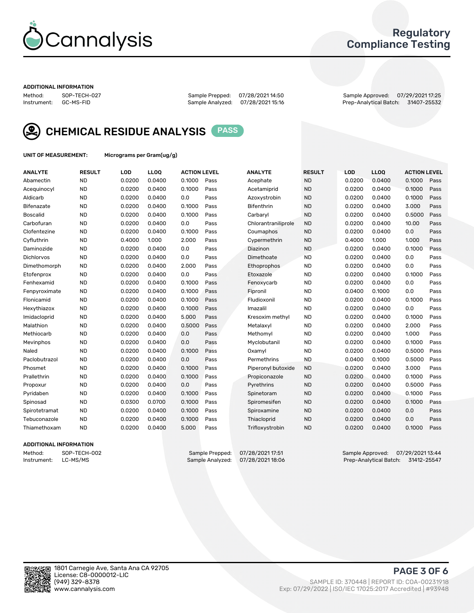

### Regulatory Compliance Testing

#### ADDITIONAL INFORMATION

Method: SOP-TECH-027 Sample Prepped: 07/28/2021 14:50 Sample Approved: 07/29/2021 17:25 Prep-Analytical Batch: 31407-25532



CHEMICAL RESIDUE ANALYSIS PASS

UNIT OF MEASUREMENT: Micrograms per Gram(ug/g)

| <b>ANALYTE</b>    | <b>RESULT</b> | LOD    | LL <sub>OO</sub> | <b>ACTION LEVEL</b> |      | <b>ANALYTE</b>      | <b>RESULT</b> | LOD    | <b>LLOQ</b> | <b>ACTION LEVEL</b> |      |
|-------------------|---------------|--------|------------------|---------------------|------|---------------------|---------------|--------|-------------|---------------------|------|
| Abamectin         | <b>ND</b>     | 0.0200 | 0.0400           | 0.1000              | Pass | Acephate            | <b>ND</b>     | 0.0200 | 0.0400      | 0.1000              | Pass |
| Acequinocyl       | <b>ND</b>     | 0.0200 | 0.0400           | 0.1000              | Pass | Acetamiprid         | <b>ND</b>     | 0.0200 | 0.0400      | 0.1000              | Pass |
| Aldicarb          | <b>ND</b>     | 0.0200 | 0.0400           | 0.0                 | Pass | Azoxystrobin        | <b>ND</b>     | 0.0200 | 0.0400      | 0.1000              | Pass |
| Bifenazate        | <b>ND</b>     | 0.0200 | 0.0400           | 0.1000              | Pass | <b>Bifenthrin</b>   | <b>ND</b>     | 0.0200 | 0.0400      | 3.000               | Pass |
| <b>Boscalid</b>   | <b>ND</b>     | 0.0200 | 0.0400           | 0.1000              | Pass | Carbaryl            | <b>ND</b>     | 0.0200 | 0.0400      | 0.5000              | Pass |
| Carbofuran        | <b>ND</b>     | 0.0200 | 0.0400           | 0.0                 | Pass | Chlorantraniliprole | <b>ND</b>     | 0.0200 | 0.0400      | 10.00               | Pass |
| Clofentezine      | <b>ND</b>     | 0.0200 | 0.0400           | 0.1000              | Pass | Coumaphos           | <b>ND</b>     | 0.0200 | 0.0400      | 0.0                 | Pass |
| Cyfluthrin        | <b>ND</b>     | 0.4000 | 1.000            | 2.000               | Pass | Cypermethrin        | <b>ND</b>     | 0.4000 | 1.000       | 1.000               | Pass |
| Daminozide        | <b>ND</b>     | 0.0200 | 0.0400           | 0.0                 | Pass | Diazinon            | <b>ND</b>     | 0.0200 | 0.0400      | 0.1000              | Pass |
| <b>Dichlorvos</b> | <b>ND</b>     | 0.0200 | 0.0400           | 0.0                 | Pass | Dimethoate          | <b>ND</b>     | 0.0200 | 0.0400      | 0.0                 | Pass |
| Dimethomorph      | <b>ND</b>     | 0.0200 | 0.0400           | 2.000               | Pass | Ethoprophos         | <b>ND</b>     | 0.0200 | 0.0400      | 0.0                 | Pass |
| Etofenprox        | <b>ND</b>     | 0.0200 | 0.0400           | 0.0                 | Pass | Etoxazole           | <b>ND</b>     | 0.0200 | 0.0400      | 0.1000              | Pass |
| Fenhexamid        | <b>ND</b>     | 0.0200 | 0.0400           | 0.1000              | Pass | Fenoxycarb          | <b>ND</b>     | 0.0200 | 0.0400      | 0.0                 | Pass |
| Fenpyroximate     | <b>ND</b>     | 0.0200 | 0.0400           | 0.1000              | Pass | Fipronil            | <b>ND</b>     | 0.0400 | 0.1000      | 0.0                 | Pass |
| Flonicamid        | <b>ND</b>     | 0.0200 | 0.0400           | 0.1000              | Pass | Fludioxonil         | <b>ND</b>     | 0.0200 | 0.0400      | 0.1000              | Pass |
| Hexythiazox       | <b>ND</b>     | 0.0200 | 0.0400           | 0.1000              | Pass | Imazalil            | <b>ND</b>     | 0.0200 | 0.0400      | 0.0                 | Pass |
| Imidacloprid      | <b>ND</b>     | 0.0200 | 0.0400           | 5.000               | Pass | Kresoxim methyl     | <b>ND</b>     | 0.0200 | 0.0400      | 0.1000              | Pass |
| Malathion         | <b>ND</b>     | 0.0200 | 0.0400           | 0.5000              | Pass | Metalaxyl           | <b>ND</b>     | 0.0200 | 0.0400      | 2.000               | Pass |
| Methiocarb        | <b>ND</b>     | 0.0200 | 0.0400           | 0.0                 | Pass | Methomyl            | <b>ND</b>     | 0.0200 | 0.0400      | 1.000               | Pass |
| Mevinphos         | <b>ND</b>     | 0.0200 | 0.0400           | 0.0                 | Pass | Myclobutanil        | <b>ND</b>     | 0.0200 | 0.0400      | 0.1000              | Pass |
| Naled             | <b>ND</b>     | 0.0200 | 0.0400           | 0.1000              | Pass | Oxamyl              | <b>ND</b>     | 0.0200 | 0.0400      | 0.5000              | Pass |
| Paclobutrazol     | <b>ND</b>     | 0.0200 | 0.0400           | 0.0                 | Pass | Permethrins         | <b>ND</b>     | 0.0400 | 0.1000      | 0.5000              | Pass |
| Phosmet           | <b>ND</b>     | 0.0200 | 0.0400           | 0.1000              | Pass | Piperonyl butoxide  | <b>ND</b>     | 0.0200 | 0.0400      | 3.000               | Pass |
| Prallethrin       | <b>ND</b>     | 0.0200 | 0.0400           | 0.1000              | Pass | Propiconazole       | <b>ND</b>     | 0.0200 | 0.0400      | 0.1000              | Pass |
| Propoxur          | <b>ND</b>     | 0.0200 | 0.0400           | 0.0                 | Pass | Pyrethrins          | <b>ND</b>     | 0.0200 | 0.0400      | 0.5000              | Pass |
| Pyridaben         | <b>ND</b>     | 0.0200 | 0.0400           | 0.1000              | Pass | Spinetoram          | <b>ND</b>     | 0.0200 | 0.0400      | 0.1000              | Pass |
| Spinosad          | <b>ND</b>     | 0.0300 | 0.0700           | 0.1000              | Pass | Spiromesifen        | <b>ND</b>     | 0.0200 | 0.0400      | 0.1000              | Pass |
| Spirotetramat     | <b>ND</b>     | 0.0200 | 0.0400           | 0.1000              | Pass | Spiroxamine         | <b>ND</b>     | 0.0200 | 0.0400      | 0.0                 | Pass |
| Tebuconazole      | <b>ND</b>     | 0.0200 | 0.0400           | 0.1000              | Pass | Thiacloprid         | <b>ND</b>     | 0.0200 | 0.0400      | 0.0                 | Pass |
| Thiamethoxam      | <b>ND</b>     | 0.0200 | 0.0400           | 5.000               | Pass | Trifloxystrobin     | <b>ND</b>     | 0.0200 | 0.0400      | 0.1000              | Pass |
|                   |               |        |                  |                     |      |                     |               |        |             |                     |      |

#### ADDITIONAL INFORMATION

Method: SOP-TECH-002 Sample Prepped: 07/28/2021 17:51 Sample Approved: 07/29/2021 13:44<br>Instrument: LC-MS/MS Sample Analyzed: 07/28/2021 18:06 Prep-Analytical Batch: 31412-25547 Prep-Analytical Batch: 31412-25547

PAGE 3 OF 6

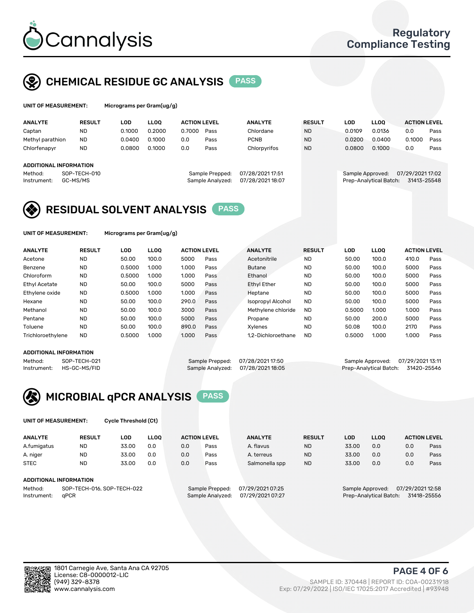

## CHEMICAL RESIDUE GC ANALYSIS PASS

rograms per Gram(ug/g)

| <b>ANALYTE</b>                                   | <b>RESULT</b>            | LOD    | <b>LLOO</b> | <b>ACTION LEVEL</b> |                                     | <b>ANALYTE</b>                      | <b>RESULT</b> | LOD              | <b>LLOO</b>            | <b>ACTION LEVEL</b>             |      |
|--------------------------------------------------|--------------------------|--------|-------------|---------------------|-------------------------------------|-------------------------------------|---------------|------------------|------------------------|---------------------------------|------|
| Captan                                           | <b>ND</b>                | 0.1000 | 0.2000      | 0.7000              | Pass                                | Chlordane                           | <b>ND</b>     | 0.0109           | 0.0136                 | 0.0                             | Pass |
| Methyl parathion                                 | <b>ND</b>                | 0.0400 | 0.1000      | 0.0                 | Pass                                | <b>PCNB</b>                         | <b>ND</b>     | 0.0200           | 0.0400                 | 0.1000                          | Pass |
| Chlorfenapyr                                     | <b>ND</b>                | 0.0800 | 0.1000      | 0.0                 | Pass                                | Chlorpyrifos                        | <b>ND</b>     | 0.0800           | 0.1000                 | 0.0                             | Pass |
| ADDITIONAL INFORMATION<br>Method:<br>Instrument: | SOP-TECH-010<br>GC-MS/MS |        |             |                     | Sample Prepped:<br>Sample Analyzed: | 07/28/2021 17:51<br>07/28/202118:07 |               | Sample Approved: | Prep-Analytical Batch: | 07/29/2021 17:02<br>31413-25548 |      |

## RESIDUAL SOLVENT ANALYSIS PASS

UNIT OF MEASUREMENT: Micrograms per Gram(ug/g)

| <b>ANALYTE</b>    | <b>RESULT</b> | LOD    | <b>LLOO</b> | <b>ACTION LEVEL</b> |      | <b>ANALYTE</b>           | <b>RESULT</b> | LOD    | LLOO  | <b>ACTION LEVEL</b> |      |
|-------------------|---------------|--------|-------------|---------------------|------|--------------------------|---------------|--------|-------|---------------------|------|
| Acetone           | <b>ND</b>     | 50.00  | 100.0       | 5000                | Pass | Acetonitrile             | <b>ND</b>     | 50.00  | 100.0 | 410.0               | Pass |
| Benzene           | <b>ND</b>     | 0.5000 | 1.000       | 1.000               | Pass | <b>Butane</b>            | <b>ND</b>     | 50.00  | 100.0 | 5000                | Pass |
| Chloroform        | <b>ND</b>     | 0.5000 | 1.000       | 1.000               | Pass | Ethanol                  | <b>ND</b>     | 50.00  | 100.0 | 5000                | Pass |
| Ethyl Acetate     | <b>ND</b>     | 50.00  | 100.0       | 5000                | Pass | <b>Ethyl Ether</b>       | <b>ND</b>     | 50.00  | 100.0 | 5000                | Pass |
| Ethylene oxide    | <b>ND</b>     | 0.5000 | 1.000       | 1.000               | Pass | Heptane                  | <b>ND</b>     | 50.00  | 100.0 | 5000                | Pass |
| Hexane            | <b>ND</b>     | 50.00  | 100.0       | 290.0               | Pass | <b>Isopropyl Alcohol</b> | <b>ND</b>     | 50.00  | 100.0 | 5000                | Pass |
| Methanol          | <b>ND</b>     | 50.00  | 100.0       | 3000                | Pass | Methylene chloride       | <b>ND</b>     | 0.5000 | 1.000 | 1.000               | Pass |
| Pentane           | <b>ND</b>     | 50.00  | 100.0       | 5000                | Pass | Propane                  | <b>ND</b>     | 50.00  | 200.0 | 5000                | Pass |
| Toluene           | <b>ND</b>     | 50.00  | 100.0       | 890.0               | Pass | Xvlenes                  | <b>ND</b>     | 50.08  | 100.0 | 2170                | Pass |
| Trichloroethylene | <b>ND</b>     | 0.5000 | 1.000       | 1.000               | Pass | 1.2-Dichloroethane       | <b>ND</b>     | 0.5000 | 1.000 | 1.000               | Pass |

#### ADDITIONAL INFORMATION

Method: SOP-TECH-021 Sample Prepped: 07/28/202117:50 Sample Approved: 07/29/202113:11<br>Instrument: HS-GC-MS/FID Sample Analyzed: 07/28/202118:05 Prep-Analytical Batch: 31420-25546 Prep-Analytical Batch: 31420-25546



UNIT OF MEASUREMENT: Cycle Threshold (Ct)

| <b>ANALYTE</b> | <b>RESULT</b>              | LOD   | <b>LLOO</b> | <b>ACTION LEVEL</b> |                 | <b>ANALYTE</b>   | <b>RESULT</b> | LOD   | <b>LLOO</b>      |                  | <b>ACTION LEVEL</b> |
|----------------|----------------------------|-------|-------------|---------------------|-----------------|------------------|---------------|-------|------------------|------------------|---------------------|
| A.fumigatus    | <b>ND</b>                  | 33.00 | 0.0         | 0.0                 | Pass            | A. flavus        | <b>ND</b>     | 33.00 | 0.0              | 0.0              | Pass                |
| A. niger       | <b>ND</b>                  | 33.00 | 0.0         | 0.0                 | Pass            | A. terreus       | <b>ND</b>     | 33.00 | 0.0              | 0.0              | Pass                |
| <b>STEC</b>    | <b>ND</b>                  | 33.00 | 0.0         | 0.0                 | Pass            | Salmonella spp   | <b>ND</b>     | 33.00 | 0.0              | 0.0              | Pass                |
|                | ADDITIONAL INFORMATION     |       |             |                     |                 |                  |               |       |                  |                  |                     |
| Method:        | SOP-TECH-016, SOP-TECH-022 |       |             |                     | Sample Prepped: | 07/29/2021 07:25 |               |       | Sample Approved: | 07/29/2021 12:58 |                     |

Instrument: qPCR Sample Analyzed: 07/29/2021 07:27 Prep-Analytical Batch: 31418-25556

PAGE 4 OF 6

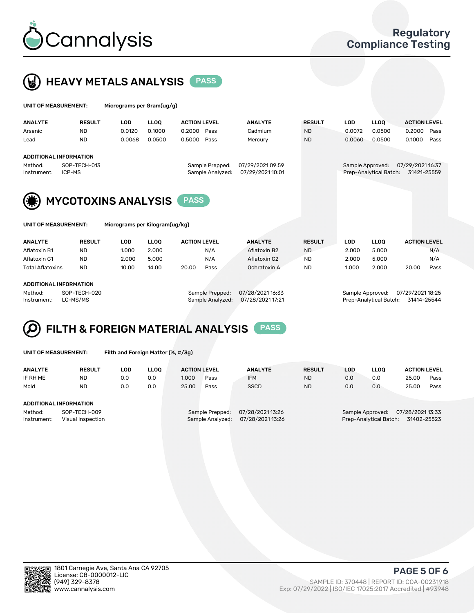



UNIT OF MEASUREMENT: Micrograms per Kilogram(ug/kg)

| UNIT OF MEASUREMENT: |                               | Micrograms per Gram(ug/g) |             |                     |                  |                  |               |                  |                        |                     |      |
|----------------------|-------------------------------|---------------------------|-------------|---------------------|------------------|------------------|---------------|------------------|------------------------|---------------------|------|
| <b>ANALYTE</b>       | <b>RESULT</b>                 | <b>LOD</b>                | <b>LLOO</b> | <b>ACTION LEVEL</b> |                  | <b>ANALYTE</b>   | <b>RESULT</b> | <b>LOD</b>       | LLOO <sup>1</sup>      | <b>ACTION LEVEL</b> |      |
| Arsenic              | <b>ND</b>                     | 0.0120                    | 0.1000      | 0.2000              | Pass             | Cadmium          | <b>ND</b>     | 0.0072           | 0.0500                 | 0.2000              | Pass |
| Lead                 | <b>ND</b>                     | 0.0068                    | 0.0500      | 0.5000              | Pass             | Mercury          | <b>ND</b>     | 0.0060           | 0.0500                 | 0.1000              | Pass |
|                      | <b>ADDITIONAL INFORMATION</b> |                           |             |                     |                  |                  |               |                  |                        |                     |      |
| Method:              | SOP-TECH-013                  |                           |             |                     | Sample Prepped:  | 07/29/2021 09:59 |               | Sample Approved: |                        | 07/29/2021 16:37    |      |
| Instrument:          | ICP-MS                        |                           |             |                     | Sample Analyzed: | 07/29/2021 10:01 |               |                  | Prep-Analytical Batch: | 31421-25559         |      |
|                      |                               |                           |             | <b>PASS</b>         |                  |                  |               |                  |                        |                     |      |
| (美)                  | <b>MYCOTOXINS ANALYSIS</b>    |                           |             |                     |                  |                  |               |                  |                        |                     |      |

| ANALYTE          | <b>RESULT</b> | LOD   | <b>LLOO</b> | <b>ACTION LEVEL</b> |      | <b>ANALYTE</b> | <b>RESULT</b> | LOD   | <b>LLOO</b> | <b>ACTION LEVEL</b> |      |
|------------------|---------------|-------|-------------|---------------------|------|----------------|---------------|-------|-------------|---------------------|------|
| Aflatoxin B1     | <b>ND</b>     | 1.000 | 2.000       | N/A                 |      | Aflatoxin B2   | <b>ND</b>     | 2.000 | 5.000       |                     | N/A  |
| Aflatoxin G1     | <b>ND</b>     | 2.000 | 5.000       | N/A                 |      | Aflatoxin G2   | <b>ND</b>     | 2.000 | 5.000       |                     | N/A  |
| Total Aflatoxins | <b>ND</b>     | 10.00 | 14.00       | 20.00               | Pass | Ochratoxin A   | <b>ND</b>     | 1.000 | 2.000       | 20.00               | Pass |
|                  |               |       |             |                     |      |                |               |       |             |                     |      |

#### ADDITIONAL INFORMATION

Method: SOP-TECH-020 Sample Prepped: 07/28/2021 16:33 Sample Approved: 07/29/2021 18:25 Instrument: LC-MS/MS Sample Analyzed: 07/28/2021 17:21 Prep-Analytical Batch: 31414-25544

# FILTH & FOREIGN MATERIAL ANALYSIS PASS

UNIT OF MEASUREMENT: Filth and Foreign Matter (%, #/3g)

| <b>ANALYTE</b>                                              | <b>RESULT</b> | LOD | <b>LLOO</b> | <b>ACTION LEVEL</b> |                                     | <b>ANALYTE</b>                     | <b>RESULT</b>                                                              | LOD | <b>LLOO</b> | <b>ACTION LEVEL</b> |      |
|-------------------------------------------------------------|---------------|-----|-------------|---------------------|-------------------------------------|------------------------------------|----------------------------------------------------------------------------|-----|-------------|---------------------|------|
| IF RH ME                                                    | <b>ND</b>     | 0.0 | 0.0         | 1.000               | Pass                                | <b>IFM</b>                         | <b>ND</b>                                                                  | 0.0 | 0.0         | 25.00               | Pass |
| Mold                                                        | <b>ND</b>     | 0.0 | 0.0         | 25.00               | Pass                                | <b>SSCD</b>                        | <b>ND</b>                                                                  | 0.0 | 0.0         | 25.00               | Pass |
| ADDITIONAL INFORMATION                                      |               |     |             |                     |                                     |                                    |                                                                            |     |             |                     |      |
| Method:<br>SOP-TECH-009<br>Instrument:<br>Visual Inspection |               |     |             |                     | Sample Prepped:<br>Sample Analyzed: | 07/28/202113:26<br>07/28/202113:26 | 07/28/2021 13:33<br>Sample Approved:<br>Prep-Analytical Batch: 31402-25523 |     |             |                     |      |



PAGE 5 OF 6